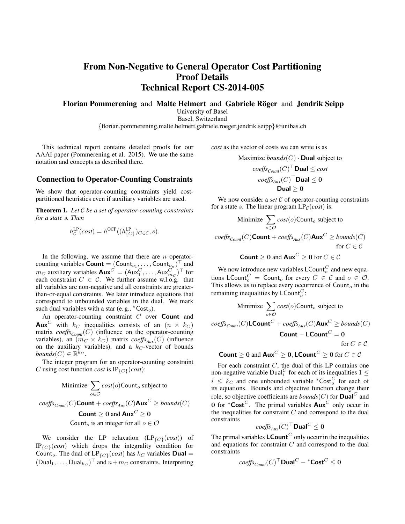# From Non-Negative to General Operator Cost Partitioning Proof Details Technical Report CS-2014-005

Florian Pommerening and Malte Helmert and Gabriele Röger and Jendrik Seipp University of Basel

Basel, Switzerland

{florian.pommerening,malte.helmert,gabriele.roeger,jendrik.seipp}@unibas.ch

This technical report contains detailed proofs for our AAAI paper (Pommerening et al. 2015). We use the same notation and concepts as described there.

## Connection to Operator-Counting Constraints

We show that operator-counting constraints yield costpartitioned heuristics even if auxiliary variables are used.

Theorem 1. *Let* C *be a set of operator-counting constraints for a state* s*. Then*

$$
h_C^{\text{LP}}(cost) = h^{\text{OCP}}((h_{\{C\}}^{\text{LP}})_{C \in \mathcal{C}}, s).
$$

In the following, we assume that there are  $n$  operatorcounting variables **Count** =  $($ Count<sub>*o*1</sub></sub>, ..., Count<sub>*on*</sub></sub> $)^{\top}$  and  $m_C$  auxiliary variables  $\mathbf{Aux}^C=(\mathsf{Aux}_1^C,\ldots,\mathsf{Aux}_{m_C}^C)^\top$  for each constraint  $C \in \mathcal{C}$ . We further assume w.l.o.g. that all variables are non-negative and all constraints are greaterthan-or-equal constraints. We later introduce equations that correspond to unbounded variables in the dual. We mark such dual variables with a star (e.g.,  $*Cost<sub>o</sub>$ ).

An operator-counting constraint  $C$  over Count and **Aux**<sup>C</sup> with  $k_C$  inequalities consists of an  $(n \times k_C)$ matrix *coeffsCount*(C) (influence on the operator-counting variables), an  $(m_C \times k_C)$  matrix *coeffs*<sub>*Aux*</sub> $(C)$  (influence on the auxiliary variables), and a  $k_C$ -vector of bounds *bounds* $(C) \in \mathbb{R}^{k_C}$ .

The integer program for an operator-counting constraint C using cost function *cost* is  $IP_{\{C\}}(cost)$ :

Minimize 
$$
\sum_{o \in \mathcal{O}} cost(o)Count_o
$$
 subject to  
\n $coeffs_{Count}(C)$ **Count** +  $coeffs_{Aux}(C)$ **Aux**<sup>C</sup>  $\geq$  *bounds*(C)  
\n**Count**  $\geq$  0 and **Aux**<sup>C</sup>  $\geq$  0  
\nCount<sub>o</sub> is an integer for all  $o \in \mathcal{O}$ 

We consider the LP relaxation  $(LP_{\{C\}}(cost))$  of  $IP_{\{C\}}(cost)$  which drops the integrality condition for Count<sub>o</sub>. The dual of  $LP_{\{C\}}(cost)$  has  $k_C$  variables **Dual** =  $(Dual_1, \ldots, Dual_{k_C})^{\top}$  and  $n+m_C$  constraints. Interpreting

*cost* as the vector of costs we can write is as

$$
\begin{aligned}\n\text{Maximize } bounds(C) \cdot \text{Dual subject to} \\
\text{coeffs}_{\text{Count}}(C)^\top \text{Dual} &\leq \text{cost} \\
\text{coeffs}_{\text{Aux}}(C)^\top \text{Dual} &\leq 0 \\
\text{Dual} &\geq 0\n\end{aligned}
$$

We now consider a *set*  $C$  of operator-counting constraints for a state s. The linear program  $LP_{\mathcal{C}}(cost)$  is:

Minimize 
$$
\sum_{o \in \mathcal{O}} cost(o)Count_o
$$
 subject to  
\n $coeffs_{Count}(C)Count + coeffs_{Aux}(C)Aux^C \ge bounds(C)$   
\nfor  $C \in \mathcal{C}$   
\n**Count**  $\geq 0$  and  $Aux^C \geq 0$  for  $C \in \mathcal{C}$ 

We now introduce new variables  $LCount_o^C$  and new equations LCount<sub>o</sub> = Count<sub>o</sub> for every  $C \in \mathcal{C}$  and  $o \in \mathcal{O}$ . This allows us to replace every occurrence of  $Count<sub>o</sub>$  in the remaining inequalities by LCount $_C^C$ :

Minimize 
$$
\sum_{o \in \mathcal{O}} cost(o)Count_o
$$
 subject to  
\n $coeffs_{Count}(C) \text{LCount}^C + coeffs_{Aux}(C) \text{Aux}^C \ge \text{bounds}(C)$   
\n $Count - \text{LCount}^C = 0$   
\nfor  $C \in \mathcal{C}$ 

**Count** 
$$
\geq
$$
 0 and **Aux**<sup>C</sup>  $\geq$  0, **LCount**<sup>C</sup>  $\geq$  0 for  $C \in C$ 

For each constraint  $C$ , the dual of this LP contains one non-negative variable Dual<sup>C</sup> for each of its inequalities  $1 \leq$  $i \leq k_C$  and one unbounded variable \*Cost<sub>o</sub><sup>C</sup> for each of its equations. Bounds and objective function change their role, so objective coefficients are *bounds*(*C*) for **Dual**<sup>*C*</sup> and 0 for  $*Cost^C$ . The primal variables  $Aux^C$  only occur in the inequalities for constraint  $C$  and correspond to the dual constraints

$$
\textit{coeffs}_{\textit{Aux}}(C)^\top \textbf{Dual}^C \leq \mathbf{0}
$$

The primal variables  $\mathsf{LCount}^C$  only occur in the inequalities and equations for constraint  $C$  and correspond to the dual constraints

$$
\textit{coeffs}_{\textit{Count}}(C)^\top \textbf{Dual}^C - {^*\textbf{Cost}}^C \leq \mathbf{0}
$$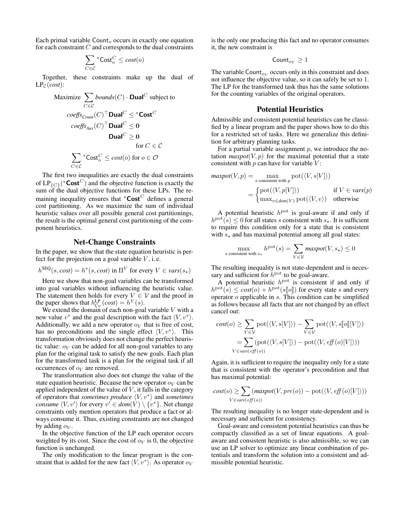Each primal variable  $Count<sub>o</sub>$  occurs in exactly one equation for each constraint  $C$  and corresponds to the dual constraints

$$
\sum_{C \in \mathcal{C}}{^* \mathsf{Cost}^C_o} \leq cost(o)
$$

Together, these constraints make up the dual of  $LP_C(cost)$ :

$$
\begin{aligned}\n\text{Maximize } &\sum_{C \in \mathcal{C}} \text{bounds}(C) \cdot \text{Dual}^C \text{ subject to} \\
\text{coeffs}_{\text{Count}}(C)^\top \text{Dual}^C &\leq^* \text{Cost}^C \\
\text{coeffs}_{\text{Aux}}(C)^\top \text{Dual}^C &\leq 0 \\
&\text{Dual}^C \geq 0 \\
&\text{for } C \in \mathcal{C} \\
&\sum_{C \in \mathcal{C}}^* \text{Cost}_o^C \leq \text{cost}(o) \text{ for } o \in \mathcal{O}\n\end{aligned}
$$

The first two inequalities are exactly the dual constraints of  $LP_{\{C\}}$  (\* $\text{Cost}^C$ ) and the objective function is exactly the sum of the dual objective functions for these LPs. The remaining inequality ensures that  ${}^*$ Cost ${}^C$  defines a general cost partitioning. As we maximize the sum of individual heuristic values over all possible general cost partitionings, the result is the optimal general cost partitioning of the component heuristics.

#### Net-Change Constraints

In the paper, we show that the state equation heuristic is perfect for the projection on a goal variable  $V$ , i.e.

$$
h^{\text{SEQ}}(s, cost) = h^*(s, cost) \text{ in } \Pi^V \text{ for every } V \in vars(s_*)
$$

Here we show that non-goal variables can be transformed into goal variables without influencing the heuristic value. The statement then holds for every  $V \in V$  and the proof in the paper shows that  $h_{C_V}^{\text{LP}}(\text{cost}) = h^V(s)$ .

We extend the domain of each non-goal variable  $V$  with a new value  $v^*$  and the goal description with the fact  $\langle V, v^* \rangle$ . Additionally, we add a new operator  $o<sub>V</sub>$  that is free of cost, has no preconditions and the single effect  $\langle V, v^* \rangle$ . This transformation obviously does not change the perfect heuristic value:  $o_V$  can be added for all non-goal variables to any plan for the original task to satisfy the new goals. Each plan for the transformed task is a plan for the original task if all occurrences of  $o<sub>V</sub>$  are removed.

The transformation also does not change the value of the state equation heuristic. Because the new operator  $o<sub>V</sub>$  can be applied independent of the value of  $V$ , it falls in the category of operators that *sometimes produce*  $\langle V, v^* \rangle$  and *sometimes consume*  $\langle V, v' \rangle$  for every  $v' \in dom(V) \setminus \{v^*\}$ . Net change constraints only mention operators that produce a fact or always consume it. Thus, existing constraints are not changed by adding  $o_V$ .

In the objective function of the LP each operator occurs weighted by its cost. Since the cost of  $o<sub>V</sub>$  is 0, the objective function is unchanged.

The only modification to the linear program is the constraint that is added for the new fact  $\langle V, v^* \rangle$ . As operator  $o_V$ 

is the only one producing this fact and no operator consumes it, the new constraint is

$$
\mathsf{Count}_{o_V} \geq 1
$$

The variable Count<sub>ov</sub> occurs only in this constraint and does not influence the objective value, so it can safely be set to 1. The LP for the transformed task thus has the same solutions for the counting variables of the original operators.

## Potential Heuristics

Admissible and consistent potential heuristics can be classified by a linear program and the paper shows how to do this for a restricted set of tasks. Here we generalize this definition for arbitrary planning tasks.

For a partial variable assignment  $p$ , we introduce the notation  $maxpot(V, p)$  for the maximal potential that a state consistent with  $p$  can have for variable  $V$ :

$$
\begin{aligned} \n\text{maxpot}(V, p) &= \max_{s \text{ consistent with } p} \text{pot}(\langle V, s[V] \rangle) \\ \n&= \begin{cases} \n\text{pot}(\langle V, p[V] \rangle) & \text{if } V \in \text{vars}(p) \\ \max_{v \in \text{dom}(V)} \text{pot}(\langle V, v \rangle) & \text{otherwise} \n\end{cases} \n\end{aligned}
$$

A potential heuristic  $h<sup>pot</sup>$  is goal-aware if and only if  $h<sup>pot</sup>(s) \leq 0$  for all states s consistent with  $s_{\star}$ . It is sufficient to require this condition only for a state that is consistent with  $s_{\star}$  and has maximal potential among all goal states:

$$
\max_{s \text{ consistent with } s_\star} h^{\text{pot}}(s) = \sum_{V \in \mathcal{V}} \text{maxpot}(V,s_\star) \leq 0
$$

The resulting inequality is not state-dependent and is necessary and sufficient for  $h<sup>pot</sup>$  to be goal-aware.

A potential heuristic  $h<sup>pot</sup>$  is consistent if and only if  $h<sup>pot</sup>(\overline{s}) \leq cost(o) + h<sup>pot</sup>(s[\[o]])$  for every state s and every<br>operator o applicable in s. This condition can be simplified operator  $o$  applicable in  $s$ . This condition can be simplified as follows because all facts that are not changed by an effect cancel out:

$$
cost(o) \ge \sum_{V \in \mathcal{V}} \text{pot}(\langle V, s[V] \rangle) - \sum_{V \in \mathcal{V}} \text{pot}(\langle V, s[\![o]\!][V]\rangle)
$$

$$
= \sum_{V \in vars(eff(o))} (\text{pot}(\langle V, s[V] \rangle) - \text{pot}(\langle V, eff(o)[V] \rangle))
$$

Again, it is sufficient to require the inequality only for a state that is consistent with the operator's precondition and that has maximal potential:

$$
cost(o) \geq \sum_{V \in vars(eff(o))} (maxpot(V, pre(o)) - pot(\langle V, eff(o)[V] \rangle))
$$

The resulting inequality is no longer state-dependent and is necessary and sufficient for consistency.

Goal-aware and consistent potential heuristics can thus be compactly classified as a set of linear equations. A goalaware and consistent heuristic is also admissible, so we can use an LP solver to optimize any linear combination of potentials and transform the solution into a consistent and admissible potential heuristic.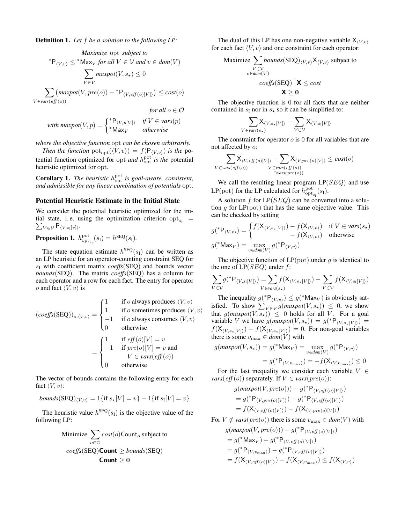Definition 1. *Let* f *be a solution to the following LP:*

$$
\begin{aligned}\n\text{Maximize opt subject to} \\
^* \mathsf{P}_{\langle V, v \rangle} &\leq^* \mathsf{Max}_V \text{ for all } V \in \mathcal{V} \text{ and } v \in \text{dom}(V) \\
&\sum_{V \in \mathcal{V}} \text{maxpot}(V, s_\star) \leq 0 \\
\sum_{V \in \text{vars}(\text{eff}(o))} (\text{maxpot}(V, \text{pre}(o)) -^* \mathsf{P}_{\langle V, \text{eff}(o)[V] \rangle}) &\leq \text{cost}(o)\n\end{aligned}
$$

*for all* o ∈ O *with maxpot* $(V, p) = \begin{cases} {}^*P_{\langle V, p[V] \rangle} & \text{if } V \in vars(p) \\ {}^*M, & \text{if } V \in vars(p) \end{cases}$ <sup>∗</sup>Max<sup>V</sup> *otherwise*

*where the objective function* opt *can be chosen arbitrarily.*

*Then the function*  $pot_{\text{opt}}(\langle V, v \rangle) = f(P_{\langle V, v \rangle})$  *is the* potential function optimized for opt *and*  $h_{opt}^{pot}$  *is the* potential heuristic optimized for opt*.*

**Corollary 1.** The heuristic  $h_{\text{opt}}^{\text{pot}}$  is goal-aware, consistent, *and admissible for any linear combination of potentials* opt*.*

#### Potential Heuristic Estimate in the Initial State

We consider the potential heuristic optimized for the initial state, i.e. using the optimization criterion opt<sub>s<sub>1</sub></sub> =  $\sum_{V \in \mathcal{V}} P_{(V,s_1|v)}$ .  $_{V\in\mathcal{V}}$   $\mathsf{P}_{\langle V, s_{\text{I}}[v]\rangle}.$ 

**Proposition 1.** 
$$
h_{\text{opt}_{s_{\text{I}}}}^{\text{pot}}(s_{\text{I}}) = h^{\text{SEQ}}(s_{\text{I}}).
$$

The state equation estimate  $h^{\text{SEQ}}(s<sub>I</sub>)$  can be written as an LP heuristic for an operator-counting constraint SEQ for  $s<sub>I</sub>$  with coefficient matrix *coeffs*(SEQ) and bounds vector *bounds*(SEQ). The matrix *coeffs*(SEQ) has a column for each operator and a row for each fact. The entry for operator *o* and fact  $\langle V, v \rangle$  is

$$
(coeffs(SEQ))_{o,\langle V,v\rangle} = \begin{cases} 1 & \text{if } o \text{ always produces } \langle V, v \rangle \\ 1 & \text{if } o \text{ sometimes produces } \langle V, v \rangle \\ -1 & \text{if } o \text{ always consumes } \langle V, v \rangle \\ 0 & \text{otherwise} \end{cases}
$$

$$
= \begin{cases} 1 & \text{if } eff(o)[V] = v \\ -1 & \text{if } pre(o)[V] = v \text{ and } \\ 0 & \text{otherwise} \end{cases}
$$

The vector of bounds contains the following entry for each fact  $\langle V, v \rangle$ :

$$
bounds(SEQ)_{\langle V,v\rangle} = 1\{\text{if } s_\star[V] = v\} - 1\{\text{if } s_I[V] = v\}
$$

The heuristic value  $h^{\text{SEQ}}(s_1)$  is the objective value of the following LP:

Minimize 
$$
\sum_{o \in \mathcal{O}} cost(o)Count_o
$$
 subject to   
coeffs(SEQ)**Count**  $\geq$  *bounds*(SEQ)  
**Count**  $\geq 0$ 

The dual of this LP has one non-negative variable  $X_{(V,v)}$ for each fact  $\langle V, v \rangle$  and one constraint for each operator:

$$
\begin{aligned}\n\text{Maximize} & \sum_{V \in \mathcal{V}} \text{bounds}(\text{SEQ})_{\langle V, v \rangle} \mathsf{X}_{\langle V, v \rangle} \text{ subject to} \\
& v \in \text{dom}(V) \\
& \text{coeffs}(\text{SEQ})^\top \mathbf{X} \leq \text{cost} \\
& \mathbf{X} \geq \mathbf{0}\n\end{aligned}
$$

The objective function is 0 for all facts that are neither contained in  $s_1$  nor in  $s_*$  so it can be simplified to:

$$
\sum_{V\in \mathit{vars}(s_\star)}\!\!\!\!\!\!\!\!\!\!\!X_{\langle V,s_\star[V]\rangle}-\sum_{V\in \mathcal{V}}\!\!\!\!\!\!\!\!X_{\langle V,s_I[V]\rangle}
$$

The constraint for operator  $\sigma$  is 0 for all variables that are not affected by o:

$$
\sum_{V \in vars(eff(o))} X_{\langle V, eff(o)[V] \rangle} - \sum_{V \in vars(eff(o))} X_{\langle V, pre(o)[V] \rangle} \le cost(o)
$$
\n
$$
\sum_{\substack{V \in vars(pref(o))} \langle vars(pre(o))} X_{\langle V, pre(o)[V] \rangle} \le cost(o)
$$

We call the resulting linear program  $LP(SEQ)$  and use LP(pot) for the LP calculated for  $h_{\text{opt}_{s_1}}^{\text{pot}}(s_1)$ .

A solution f for  $LP(SEQ)$  can be converted into a solution  $g$  for  $LP(pot)$  that has the same objective value. This can be checked by setting

$$
g(^*P_{\langle V,v\rangle}) = \begin{cases} f(\mathsf{X}_{\langle V,s_*[V]\rangle}) - f(\mathsf{X}_{\langle V,v\rangle}) & \text{if } V \in vars(s_*)\\ - f(\mathsf{X}_{\langle V,v\rangle}) & \text{otherwise} \end{cases}
$$

$$
g(^*{\mathsf{Max}}_V) = \max_{v \in dom(V)} g(^*P_{\langle V,v\rangle})
$$

The objective function of  $LP(pot)$  under q is identical to the one of  $LP(SEQ)$  under f:

$$
\sum_{V \in \mathcal{V}} g(^*P_{\langle V, s_1[V] \rangle}) = \sum_{V \in vars(s_\star)} f(\mathsf{X}_{\langle V, s_\star[V] \rangle}) - \sum_{V \in \mathcal{V}} f(\mathsf{X}_{\langle V, s_1[V] \rangle})
$$

The inequality  $g({^*P}_{(V,v)}) \leq g({^*Max}_V)$  is obviously satisfied. To show  $\sum_{V \in \mathcal{V}} g(maxpot(V, s_\star)) \leq 0$ , we show that  $g(maxpot(V, s_*)$   $\leq$  0 holds for all V. For a goal variable V we have  $g(maxpot(V, s_*)$  =  $g({^*P}_{(V, s_*(V))})$  =  $f(\mathsf{X}_{\langle V,s_{*}[V] \rangle}) - f(\mathsf{X}_{\langle V,s_{*}[V] \rangle}) = 0$ . For non-goal variables there is some  $v_{\text{max}} \in dom(V)$  with

$$
g(\text{maxpot}(V, s_{\star})) = g({}^{\ast} \text{Max}_V) = \max_{v \in \text{dom}(V)} g({}^{\ast} \text{P}_{\langle V, v \rangle})
$$

$$
= g({}^{\ast} \text{P}_{\langle V, v_{\text{max}} \rangle}) = -f(\text{X}_{\langle V, v_{\text{max}} \rangle}) \le 0
$$

For the last inequality we consider each variable  $V \in$ *vars*( $eff(o)$ ) separately. If  $V \in vars(pre(o))$ :

$$
g(\operatorname{maxpot}(V, \operatorname{pre}(o))) - g(^*P_{\langle V, \operatorname{eff}(o)[V] \rangle})
$$
  
= 
$$
g(^*P_{\langle V, \operatorname{pre}(o)[V] \rangle}) - g(^*P_{\langle V, \operatorname{eff}(o)[V] \rangle})
$$
  
= 
$$
f(\mathsf{X}_{\langle V, \operatorname{eff}(o)[V] \rangle}) - f(\mathsf{X}_{\langle V, \operatorname{pre}(o)[V] \rangle})
$$

For  $V \notin vars(pre(o))$  there is some  $v_{\text{max}} \in dom(V)$  with

$$
g(maxpot(V, pre(o))) - g(*P_{(V, eff(o)[V])})
$$
  
=  $g(*Max_V) - g(*P_{(V, eff(o)[V])})$   
=  $g(*P_{(V,v_{max})}) - g(*P_{(V, eff(o)[V])})$   
=  $f(X_{(V, eff(o)[V])) - f(X_{(V,v_{max})}) \le f(X_{(V,v)})$